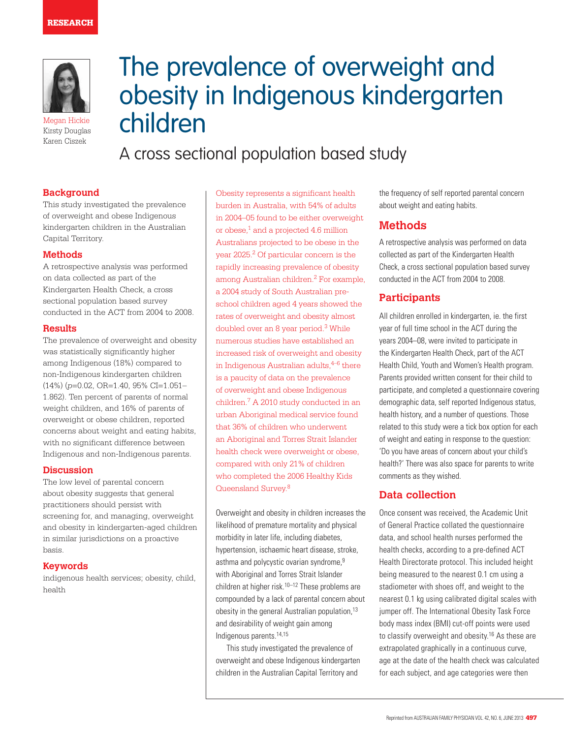

Megan Hickie Kirsty Douglas Karen Ciszek

# The prevalence of overweight and obesity in Indigenous kindergarten children

A cross sectional population based study

## **Background**

This study investigated the prevalence of overweight and obese Indigenous kindergarten children in the Australian Capital Territory.

## **Methods**

A retrospective analysis was performed on data collected as part of the Kindergarten Health Check, a cross sectional population based survey conducted in the ACT from 2004 to 2008.

### **Results**

The prevalence of overweight and obesity was statistically significantly higher among Indigenous (18%) compared to non-Indigenous kindergarten children (14%) (*p*=0.02, OR=1.40, 95% CI=1.051– 1.862). Ten percent of parents of normal weight children, and 16% of parents of overweight or obese children, reported concerns about weight and eating habits, with no significant difference between Indigenous and non-Indigenous parents.

### **Discussion**

The low level of parental concern about obesity suggests that general practitioners should persist with screening for, and managing, overweight and obesity in kindergarten-aged children in similar jurisdictions on a proactive basis.

#### **Keywords**

indigenous health services; obesity, child, health

Obesity represents a significant health burden in Australia, with 54% of adults in 2004–05 found to be either overweight or obese, $1$  and a projected 4.6 million Australians projected to be obese in the year 2025.2 Of particular concern is the rapidly increasing prevalence of obesity among Australian children.2 For example, a 2004 study of South Australian preschool children aged 4 years showed the rates of overweight and obesity almost doubled over an 8 year period.3 While numerous studies have established an increased risk of overweight and obesity in Indigenous Australian adults, $4-6$  there is a paucity of data on the prevalence of overweight and obese Indigenous children.7 A 2010 study conducted in an urban Aboriginal medical service found that 36% of children who underwent an Aboriginal and Torres Strait Islander health check were overweight or obese, compared with only 21% of children who completed the 2006 Healthy Kids Queensland Survey.8

Overweight and obesity in children increases the likelihood of premature mortality and physical morbidity in later life, including diabetes, hypertension, ischaemic heart disease, stroke, asthma and polycystic ovarian syndrome,<sup>9</sup> with Aboriginal and Torres Strait Islander children at higher risk. $10-12$  These problems are compounded by a lack of parental concern about obesity in the general Australian population,<sup>13</sup> and desirability of weight gain among Indigenous parents.14,15

This study investigated the prevalence of overweight and obese Indigenous kindergarten children in the Australian Capital Territory and

the frequency of self reported parental concern about weight and eating habits.

# **Methods**

A retrospective analysis was performed on data collected as part of the Kindergarten Health Check, a cross sectional population based survey conducted in the ACT from 2004 to 2008.

## **Participants**

All children enrolled in kindergarten, ie. the first year of full time school in the ACT during the years 2004–08, were invited to participate in the Kindergarten Health Check, part of the ACT Health Child, Youth and Women's Health program. Parents provided written consent for their child to participate, and completed a questionnaire covering demographic data, self reported Indigenous status, health history, and a number of questions. Those related to this study were a tick box option for each of weight and eating in response to the question: 'Do you have areas of concern about your child's health?' There was also space for parents to write comments as they wished.

## **Data collection**

Once consent was received, the Academic Unit of General Practice collated the questionnaire data, and school health nurses performed the health checks, according to a pre-defined ACT Health Directorate protocol. This included height being measured to the nearest 0.1 cm using a stadiometer with shoes off, and weight to the nearest 0.1 kg using calibrated digital scales with jumper off. The International Obesity Task Force body mass index (BMI) cut-off points were used to classify overweight and obesity.<sup>16</sup> As these are extrapolated graphically in a continuous curve, age at the date of the health check was calculated for each subject, and age categories were then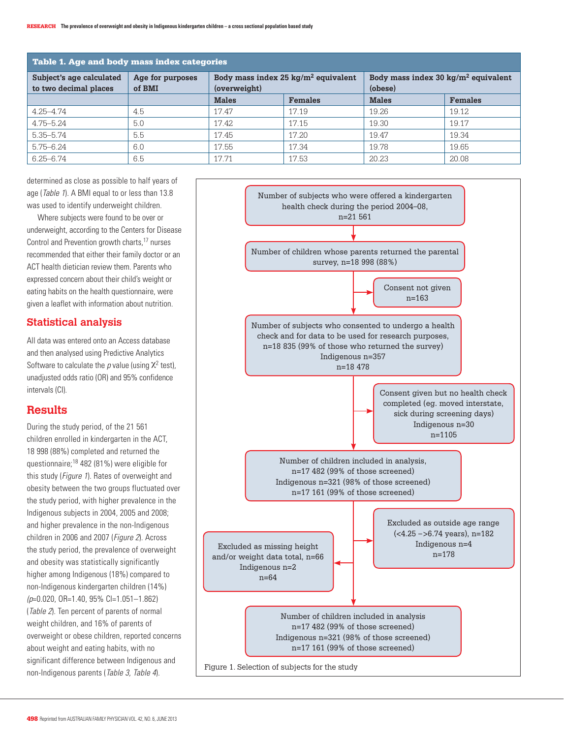| Table 1. Age and body mass index categories       |                            |              |                                        |                                                            |                |  |  |  |
|---------------------------------------------------|----------------------------|--------------|----------------------------------------|------------------------------------------------------------|----------------|--|--|--|
| Subject's age calculated<br>to two decimal places | Age for purposes<br>of BMI | (overweight) | Body mass index 25 $kg/m^2$ equivalent | Body mass index 30 kg/m <sup>2</sup> equivalent<br>(obese) |                |  |  |  |
|                                                   |                            | <b>Males</b> | <b>Females</b>                         | <b>Males</b>                                               | <b>Females</b> |  |  |  |
| $4.25 - 4.74$                                     | 4.5                        | 17.47        | 17.19                                  | 19.26                                                      | 19.12          |  |  |  |
| $4.75 - 5.24$                                     | 5.0                        | 17.42        | 17.15                                  | 19.30                                                      | 19.17          |  |  |  |
| $5.35 - 5.74$                                     | 5.5                        | 17.45        | 17.20                                  | 19.47                                                      | 19.34          |  |  |  |
| $5.75 - 6.24$                                     | 6.0                        | 17.55        | 17.34                                  | 19.78                                                      | 19.65          |  |  |  |
| $6.25 - 6.74$                                     | 6.5                        | 17.71        | 17.53                                  | 20.23                                                      | 20.08          |  |  |  |

determined as close as possible to half years of age (Table 1). A BMI equal to or less than 13.8 was used to identify underweight children.

Where subjects were found to be over or underweight, according to the Centers for Disease Control and Prevention growth charts,17 nurses recommended that either their family doctor or an ACT health dietician review them. Parents who expressed concern about their child's weight or eating habits on the health questionnaire, were given a leaflet with information about nutrition.

## **Statistical analysis**

All data was entered onto an Access database and then analysed using Predictive Analytics Software to calculate the  $p$  value (using  $X^2$  test), unadjusted odds ratio (OR) and 95% confidence intervals (CI).

## **Results**

During the study period, of the 21 561 children enrolled in kindergarten in the ACT, 18 998 (88%) completed and returned the questionnaire;18 482 (81%) were eligible for this study (*Figure 1*). Rates of overweight and obesity between the two groups fluctuated over the study period, with higher prevalence in the Indigenous subjects in 2004, 2005 and 2008; and higher prevalence in the non-Indigenous children in 2006 and 2007 (Figure 2). Across the study period, the prevalence of overweight and obesity was statistically significantly higher among Indigenous (18%) compared to non-Indigenous kindergarten children (14%)  $(p=0.020, 0R=1.40, 95\%$  CI=1.051-1.862) (Table 2). Ten percent of parents of normal weight children, and 16% of parents of overweight or obese children, reported concerns about weight and eating habits, with no significant difference between Indigenous and non-Indigenous parents (Table 3, Table 4).

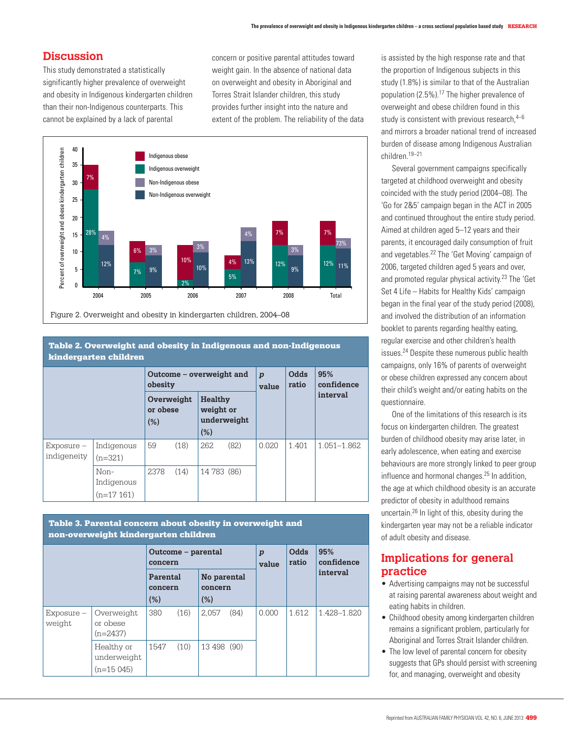# **Discussion**

This study demonstrated a statistically significantly higher prevalence of overweight and obesity in Indigenous kindergarten children than their non-Indigenous counterparts. This cannot be explained by a lack of parental

concern or positive parental attitudes toward weight gain. In the absence of national data on overweight and obesity in Aboriginal and Torres Strait Islander children, this study provides further insight into the nature and extent of the problem. The reliability of the data



Figure 2. Overweight and obesity in kindergarten children, 2004–08

#### Table 2. Overweight and obesity in Indigenous and non-Indigenous kindergarten children

|                           |                                   | Outcome – overweight and<br>obesity |      |                                                   |      | $\boldsymbol{p}$<br>value | Odds<br>ratio | 95%<br>confidence |
|---------------------------|-----------------------------------|-------------------------------------|------|---------------------------------------------------|------|---------------------------|---------------|-------------------|
|                           |                                   | Overweight<br>or obese<br>(% )      |      | <b>Healthy</b><br>weight or<br>underweight<br>(%) |      |                           |               | interval          |
| Exposure –<br>indigeneity | Indigenous<br>$(n=321)$           | 59                                  | (18) | 262                                               | (82) | 0.020                     | 1.401         | 1.051-1.862       |
|                           | Non-<br>Indigenous<br>$(n=17161)$ | 2378                                | (14) | 14 783 (86)                                       |      |                           |               |                   |

#### Table 3. Parental concern about obesity in overweight and non-overweight kindergarten children

|                        |                                          | Outcome – parental<br>concern |      |                               |      | $\boldsymbol{p}$<br>value | Odds<br>ratio | 95%<br>confidence |
|------------------------|------------------------------------------|-------------------------------|------|-------------------------------|------|---------------------------|---------------|-------------------|
|                        |                                          | Parental<br>concern<br>(%)    |      | No parental<br>concern<br>(%) |      |                           |               | interval          |
| $Exposure -$<br>weight | Overweight<br>or obese<br>$(n=2437)$     | 380                           | (16) | 2.057                         | (84) | 0.000                     | 1.612         | 1.428-1.820       |
|                        | Healthy or<br>underweight<br>$(n=15045)$ | 1547                          | (10) | 13 498 (90)                   |      |                           |               |                   |

is assisted by the high response rate and that the proportion of Indigenous subjects in this study (1.8%) is similar to that of the Australian population (2.5%).17 The higher prevalence of overweight and obese children found in this study is consistent with previous research, $4-6$ and mirrors a broader national trend of increased burden of disease among Indigenous Australian children.19–21

Several government campaigns specifically targeted at childhood overweight and obesity coincided with the study period (2004–08). The 'Go for 2&5' campaign began in the ACT in 2005 and continued throughout the entire study period. Aimed at children aged 5–12 years and their parents, it encouraged daily consumption of fruit and vegetables.22 The 'Get Moving' campaign of 2006, targeted children aged 5 years and over, and promoted regular physical activity.23 The 'Get Set 4 Life – Habits for Healthy Kids' campaign began in the final year of the study period (2008), and involved the distribution of an information booklet to parents regarding healthy eating, regular exercise and other children's health issues.24 Despite these numerous public health campaigns, only 16% of parents of overweight or obese children expressed any concern about their child's weight and/or eating habits on the questionnaire.

One of the limitations of this research is its focus on kindergarten children. The greatest burden of childhood obesity may arise later, in early adolescence, when eating and exercise behaviours are more strongly linked to peer group influence and hormonal changes.25 In addition, the age at which childhood obesity is an accurate predictor of obesity in adulthood remains uncertain.26 In light of this, obesity during the kindergarten year may not be a reliable indicator of adult obesity and disease.

# **Implications for general practice**

- Advertising campaigns may not be successful at raising parental awareness about weight and eating habits in children.
- Childhood obesity among kindergarten children remains a significant problem, particularly for Aboriginal and Torres Strait Islander children.
- The low level of parental concern for obesity suggests that GPs should persist with screening for, and managing, overweight and obesity